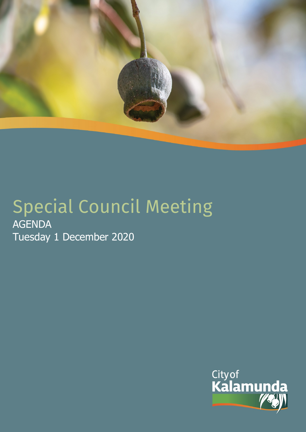

# Special Council Meeting AGENDA Tuesday 1 December 2020

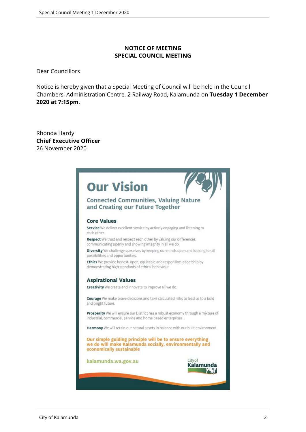#### **NOTICE OF MEETING SPECIAL COUNCIL MEETING**

Dear Councillors

Notice is hereby given that a Special Meeting of Council will be held in the Council Chambers, Administration Centre, 2 Railway Road, Kalamunda on **Tuesday 1 December 2020 at 7:15pm**.

Rhonda Hardy **Chief Executive Officer** 26 November 2020

|                    | <b>Our Vision</b>                                                                                                                                |                   |
|--------------------|--------------------------------------------------------------------------------------------------------------------------------------------------|-------------------|
|                    | <b>Connected Communities, Valuing Nature</b><br>and Creating our Future Together                                                                 |                   |
| <b>Core Values</b> |                                                                                                                                                  |                   |
| each other.        | Service We deliver excellent service by actively engaging and listening to                                                                       |                   |
|                    | Respect We trust and respect each other by valuing our differences,<br>communicating openly and showing integrity in all we do.                  |                   |
|                    | Diversity We challenge ourselves by keeping our minds open and looking for all<br>possibilities and opportunities.                               |                   |
|                    | Ethics We provide honest, open, equitable and responsive leadership by<br>demonstrating high standards of ethical behaviour.                     |                   |
|                    | <b>Aspirational Values</b>                                                                                                                       |                   |
|                    | Creativity We create and innovate to improve all we do.                                                                                          |                   |
| and bright future. | Courage We make brave decisions and take calculated risks to lead us to a bold                                                                   |                   |
|                    | Prosperity We will ensure our District has a robust economy through a mixture of<br>industrial, commercial, service and home based enterprises.  |                   |
|                    | Harmony We will retain our natural assets in balance with our built environment.                                                                 |                   |
|                    | Our simple guiding principle will be to ensure everything<br>we do will make Kalamunda socially, environmentally and<br>economically sustainable |                   |
|                    | kalamunda.wa.gov.au                                                                                                                              | Cityof<br>Kalamur |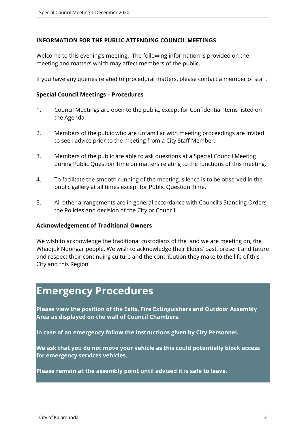#### **INFORMATION FOR THE PUBLIC ATTENDING COUNCIL MEETINGS**

Welcome to this evening's meeting. The following information is provided on the meeting and matters which may affect members of the public.

If you have any queries related to procedural matters, please contact a member of staff.

#### **Special Council Meetings – Procedures**

- 1. Council Meetings are open to the public, except for Confidential Items listed on the Agenda.
- 2. Members of the public who are unfamiliar with meeting proceedings are invited to seek advice prior to the meeting from a City Staff Member.
- 3. Members of the public are able to ask questions at a Special Council Meeting during Public Question Time on matters relating to the functions of this meeting.
- 4. To facilitate the smooth running of the meeting, silence is to be observed in the public gallery at all times except for Public Question Time.
- 5. All other arrangements are in general accordance with Council's Standing Orders, the Policies and decision of the City or Council.

#### **Acknowledgement of Traditional Owners**

We wish to acknowledge the traditional custodians of the land we are meeting on, the Whadjuk Noongar people. We wish to acknowledge their Elders' past, present and future and respect their continuing culture and the contribution they make to the life of this City and this Region.

# **Emergency Procedures**

**Please view the position of the Exits, Fire Extinguishers and Outdoor Assembly Area as displayed on the wall of Council Chambers.**

**In case of an emergency follow the instructions given by City Personnel.** 

**We ask that you do not move your vehicle as this could potentially block access for emergency services vehicles.** 

**Please remain at the assembly point until advised it is safe to leave.**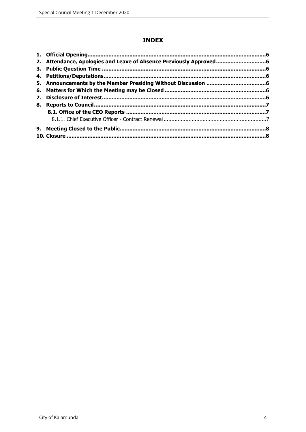### **INDEX**

| 7. |  |
|----|--|
| 8. |  |
|    |  |
|    |  |
|    |  |
|    |  |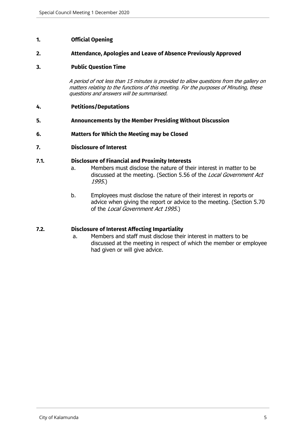#### <span id="page-4-0"></span>**1. Official Opening**

#### <span id="page-4-1"></span>**2. Attendance, Apologies and Leave of Absence Previously Approved**

#### <span id="page-4-2"></span>**3. Public Question Time**

*A period of not less than 15 minutes is provided to allow questions from the gallery on matters relating to the functions of this meeting. For the purposes of Minuting, these questions and answers will be summarised.*

- <span id="page-4-3"></span>**4. Petitions/Deputations**
- <span id="page-4-4"></span>**5. Announcements by the Member Presiding Without Discussion**
- <span id="page-4-5"></span>**6. Matters for Which the Meeting may be Closed**

#### <span id="page-4-6"></span>**7. Disclosure of Interest**

#### **7.1. Disclosure of Financial and Proximity Interests**

- a. Members must disclose the nature of their interest in matter to be discussed at the meeting. (Section 5.56 of the *Local Government Act 1995*.)
- b. Employees must disclose the nature of their interest in reports or advice when giving the report or advice to the meeting. (Section 5.70 of the *Local Government Act 1995*.)

#### **7.2. Disclosure of Interest Affecting Impartiality**

a. Members and staff must disclose their interest in matters to be discussed at the meeting in respect of which the member or employee had given or will give advice.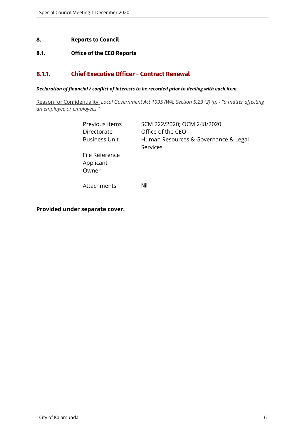#### <span id="page-5-0"></span>**8. Reports to Council**

#### <span id="page-5-1"></span>**8.1. Office of the CEO Reports**

#### <span id="page-5-2"></span>**8.1.1. Chief Executive Officer - Contract Renewal**

#### *Declaration of financial / conflict of interests to be recorded prior to dealing with each item.*

Reason for Confidentiality: *Local Government Act 1995 (WA) Section 5.23 (2) (a) - "a matter affecting an employee or employees."*

| Previous Items<br>Directorate<br><b>Business Unit</b> | SCM 222/2020; OCM 248/2020<br>Office of the CEO<br>Human Resources & Governance & Legal<br>Services |
|-------------------------------------------------------|-----------------------------------------------------------------------------------------------------|
| File Reference<br>Applicant<br>Owner                  |                                                                                                     |
| Attachments                                           | Nil                                                                                                 |

**Provided under separate cover.**